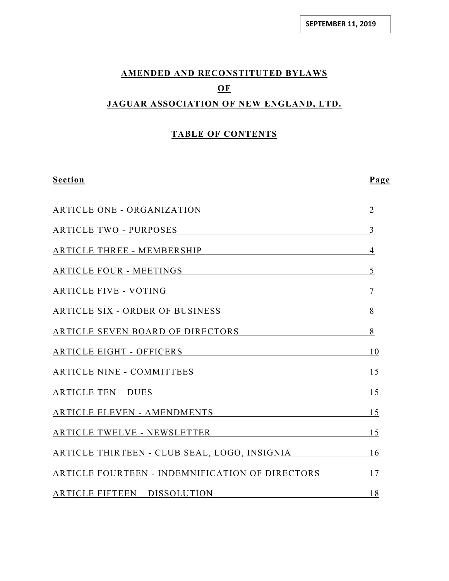# **AMENDED AND RECONSTITUTED BYLAWS OF JAGUAR ASSOCIATION OF NEW ENGLAND, LTD.**

# **TABLE OF CONTENTS**

**Section Page**

| ARTICLE ONE - ORGANIZATION                         | $\overline{2}$ |
|----------------------------------------------------|----------------|
| ARTICLE TWO - PURPOSES                             | 3              |
| ARTICLE THREE - MEMBERSHIP 4                       |                |
| ARTICLE FOUR - MEETINGS                            | 5              |
| ARTICLE FIVE - VOTING                              | $\overline{7}$ |
| ARTICLE SIX - ORDER OF BUSINESS 8                  |                |
| ARTICLE SEVEN BOARD OF DIRECTORS                   | 8              |
| ARTICLE EIGHT - OFFICERS 10                        |                |
| ARTICLE NINE - COMMITTEES 15                       |                |
| ARTICLE TEN – DUES 15                              |                |
| ARTICLE ELEVEN - AMENDMENTS 15                     |                |
| ARTICLE TWELVE - NEWSLETTER 15                     |                |
| ARTICLE THIRTEEN - CLUB SEAL, LOGO, INSIGNIA 16    |                |
| ARTICLE FOURTEEN - INDEMNIFICATION OF DIRECTORS 17 |                |
| ARTICLE FIFTEEN - DISSOLUTION                      | 18             |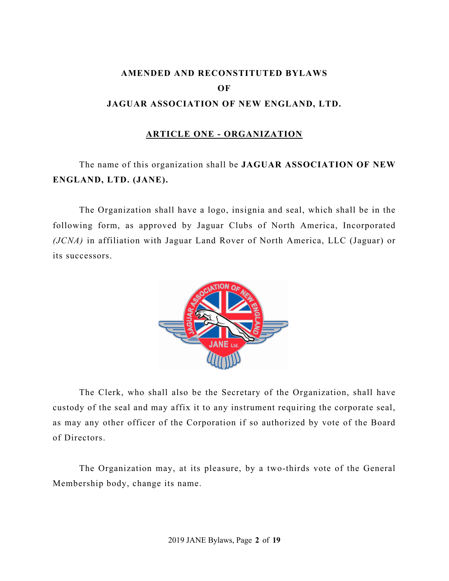# **AMENDED AND RECONSTITUTED BYLAWS OF JAGUAR ASSOCIATION OF NEW ENGLAND, LTD.**

## **ARTICLE ONE - ORGANIZATION**

# The name of this organization shall be **JAGUAR ASSOCIATION OF NEW ENGLAND, LTD. (JANE).**

The Organization shall have a logo, insignia and seal, which shall be in the following form, as approved by Jaguar Clubs of North America, Incorporated *(JCNA)* in affiliation with Jaguar Land Rover of North America, LLC (Jaguar) or its successors.



The Clerk, who shall also be the Secretary of the Organization, shall have custody of the seal and may affix it to any instrument requiring the corporate seal, as may any other officer of the Corporation if so authorized by vote of the Board of Directors.

The Organization may, at its pleasure, by a two-thirds vote of the General Membership body, change its name.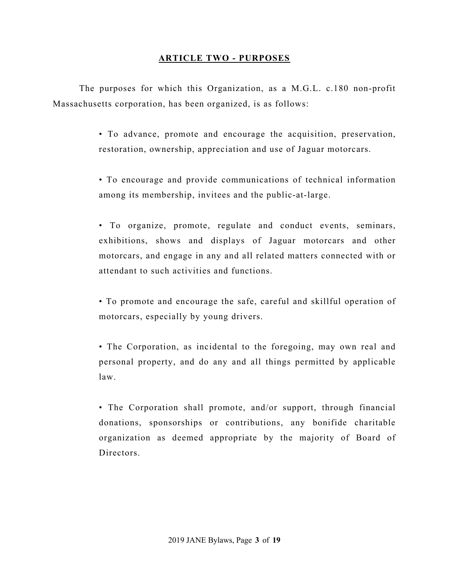## **ARTICLE TWO - PURPOSES**

The purposes for which this Organization, as a M.G.L. c.180 non-profit Massachusetts corporation, has been organized, is as follows:

> • To advance, promote and encourage the acquisition, preservation, restoration, ownership, appreciation and use of Jaguar motorcars.

> • To encourage and provide communications of technical information among its membership, invitees and the public-at-large.

> • To organize, promote, regulate and conduct events, seminars, exhibitions, shows and displays of Jaguar motorcars and other motorcars, and engage in any and all related matters connected with or attendant to such activities and functions.

> • To promote and encourage the safe, careful and skillful operation of motorcars, especially by young drivers.

> • The Corporation, as incidental to the foregoing, may own real and personal property, and do any and all things permitted by applicable law.

> • The Corporation shall promote, and/or support, through financial donations, sponsorships or contributions, any bonifide charitable organization as deemed appropriate by the majority of Board of Directors.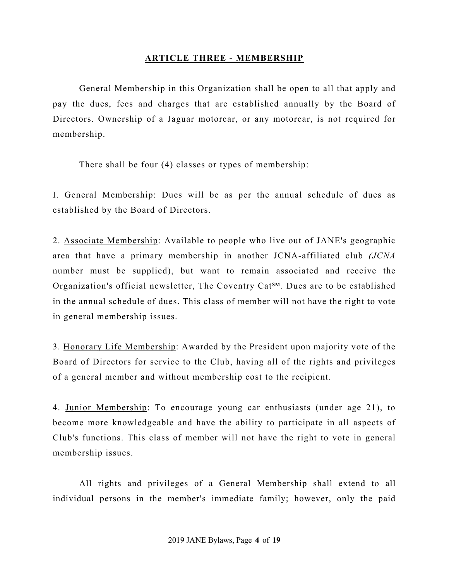# **ARTICLE THREE - MEMBERSHIP**

General Membership in this Organization shall be open to all that apply and pay the dues, fees and charges that are established annually by the Board of Directors. Ownership of a Jaguar motorcar, or any motorcar, is not required for membership.

There shall be four (4) classes or types of membership:

I. General Membership: Dues will be as per the annual schedule of dues as established by the Board of Directors.

2. Associate Membership: Available to people who live out of JANE's geographic area that have a primary membership in another JCNA-affiliated club *(JCNA* number must be supplied), but want to remain associated and receive the Organization's official newsletter, The Coventry Cat℠. Dues are to be established in the annual schedule of dues. This class of member will not have the right to vote in general membership issues.

3. Honorary Life Membership: Awarded by the President upon majority vote of the Board of Directors for service to the Club, having all of the rights and privileges of a general member and without membership cost to the recipient.

4. Junior Membership: To encourage young car enthusiasts (under age 21), to become more knowledgeable and have the ability to participate in all aspects of Club's functions. This class of member will not have the right to vote in general membership issues.

All rights and privileges of a General Membership shall extend to all individual persons in the member's immediate family; however, only the paid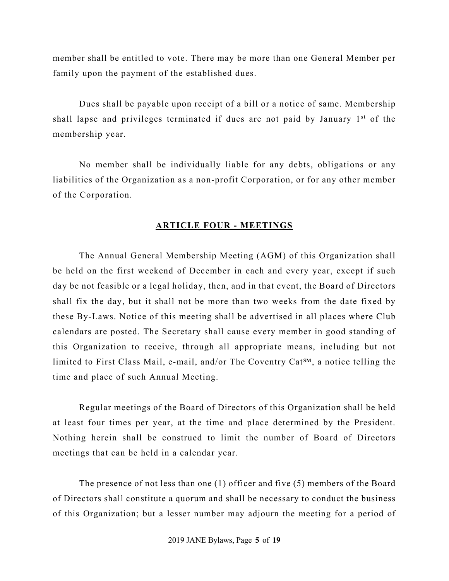member shall be entitled to vote. There may be more than one General Member per family upon the payment of the established dues.

Dues shall be payable upon receipt of a bill or a notice of same. Membership shall lapse and privileges terminated if dues are not paid by January 1<sup>st</sup> of the membership year.

No member shall be individually liable for any debts, obligations or any liabilities of the Organization as a non-profit Corporation, or for any other member of the Corporation.

#### **ARTICLE FOUR - MEETINGS**

The Annual General Membership Meeting (AGM) of this Organization shall be held on the first weekend of December in each and every year, except if such day be not feasible or a legal holiday, then, and in that event, the Board of Directors shall fix the day, but it shall not be more than two weeks from the date fixed by these By-Laws. Notice of this meeting shall be advertised in all places where Club calendars are posted. The Secretary shall cause every member in good standing of this Organization to receive, through all appropriate means, including but not limited to First Class Mail, e-mail, and/or The Coventry Cat<sup>SM</sup>, a notice telling the time and place of such Annual Meeting.

Regular meetings of the Board of Directors of this Organization shall be held at least four times per year, at the time and place determined by the President. Nothing herein shall be construed to limit the number of Board of Directors meetings that can be held in a calendar year.

The presence of not less than one (1) officer and five (5) members of the Board of Directors shall constitute a quorum and shall be necessary to conduct the business of this Organization; but a lesser number may adjourn the meeting for a period of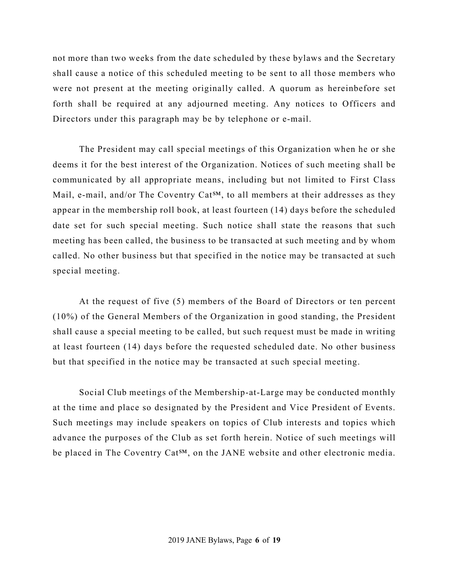not more than two weeks from the date scheduled by these bylaws and the Secretary shall cause a notice of this scheduled meeting to be sent to all those members who were not present at the meeting originally called. A quorum as hereinbefore set forth shall be required at any adjourned meeting. Any notices to Officers and Directors under this paragraph may be by telephone or e-mail.

The President may call special meetings of this Organization when he or she deems it for the best interest of the Organization. Notices of such meeting shall be communicated by all appropriate means, including but not limited to First Class Mail, e-mail, and/or The Coventry Cat<sup>SM</sup>, to all members at their addresses as they appear in the membership roll book, at least fourteen (14) days before the scheduled date set for such special meeting. Such notice shall state the reasons that such meeting has been called, the business to be transacted at such meeting and by whom called. No other business but that specified in the notice may be transacted at such special meeting.

At the request of five (5) members of the Board of Directors or ten percent (10%) of the General Members of the Organization in good standing, the President shall cause a special meeting to be called, but such request must be made in writing at least fourteen (14) days before the requested scheduled date. No other business but that specified in the notice may be transacted at such special meeting.

Social Club meetings of the Membership-at-Large may be conducted monthly at the time and place so designated by the President and Vice President of Events. Such meetings may include speakers on topics of Club interests and topics which advance the purposes of the Club as set forth herein. Notice of such meetings will be placed in The Coventry Cat<sup>SM</sup>, on the JANE website and other electronic media.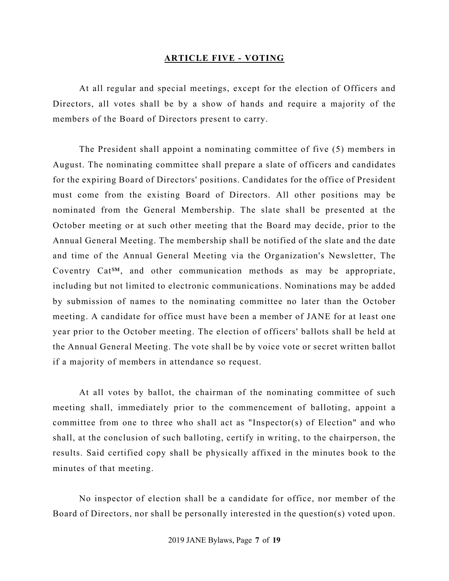#### **ARTICLE FIVE - VOTING**

At all regular and special meetings, except for the election of Officers and Directors, all votes shall be by a show of hands and require a majority of the members of the Board of Directors present to carry.

The President shall appoint a nominating committee of five (5) members in August. The nominating committee shall prepare a slate of officers and candidates for the expiring Board of Directors' positions. Candidates for the office of President must come from the existing Board of Directors. All other positions may be nominated from the General Membership. The slate shall be presented at the October meeting or at such other meeting that the Board may decide, prior to the Annual General Meeting. The membership shall be notified of the slate and the date and time of the Annual General Meeting via the Organization's Newsletter, The Coventry Cat<sup>SM</sup>, and other communication methods as may be appropriate, including but not limited to electronic communications. Nominations may be added by submission of names to the nominating committee no later than the October meeting. A candidate for office must have been a member of JANE for at least one year prior to the October meeting. The election of officers' ballots shall be held at the Annual General Meeting. The vote shall be by voice vote or secret written ballot if a majority of members in attendance so request.

At all votes by ballot, the chairman of the nominating committee of such meeting shall, immediately prior to the commencement of balloting, appoint a committee from one to three who shall act as "Inspector(s) of Election" and who shall, at the conclusion of such balloting, certify in writing, to the chairperson, the results. Said certified copy shall be physically affixed in the minutes book to the minutes of that meeting.

No inspector of election shall be a candidate for office, nor member of the Board of Directors, nor shall be personally interested in the question(s) voted upon.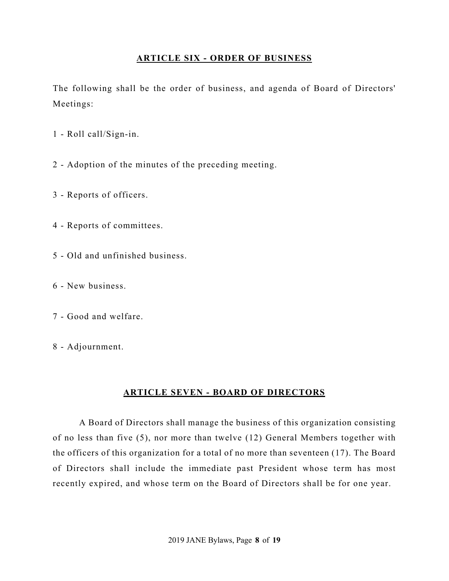# **ARTICLE SIX - ORDER OF BUSINESS**

The following shall be the order of business, and agenda of Board of Directors' Meetings:

- 1 Roll call/Sign-in.
- 2 Adoption of the minutes of the preceding meeting.
- 3 Reports of officers.
- 4 Reports of committees.
- 5 Old and unfinished business.
- 6 New business.
- 7 Good and welfare.
- 8 Adjournment.

# **ARTICLE SEVEN - BOARD OF DIRECTORS**

A Board of Directors shall manage the business of this organization consisting of no less than five (5), nor more than twelve (12) General Members together with the officers of this organization for a total of no more than seventeen (17). The Board of Directors shall include the immediate past President whose term has most recently expired, and whose term on the Board of Directors shall be for one year.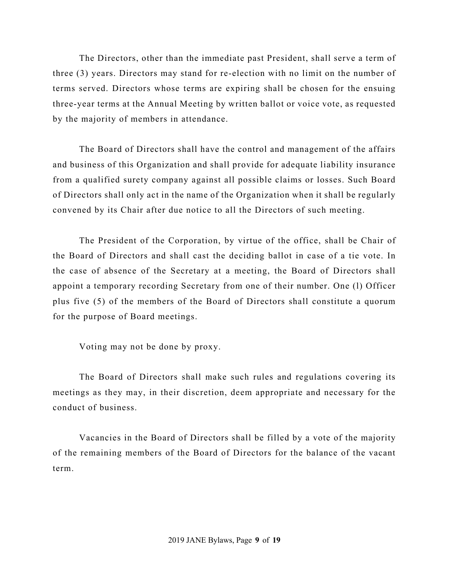The Directors, other than the immediate past President, shall serve a term of three (3) years. Directors may stand for re-election with no limit on the number of terms served. Directors whose terms are expiring shall be chosen for the ensuing three-year terms at the Annual Meeting by written ballot or voice vote, as requested by the majority of members in attendance.

The Board of Directors shall have the control and management of the affairs and business of this Organization and shall provide for adequate liability insurance from a qualified surety company against all possible claims or losses. Such Board of Directors shall only act in the name of the Organization when it shall be regularly convened by its Chair after due notice to all the Directors of such meeting.

The President of the Corporation, by virtue of the office, shall be Chair of the Board of Directors and shall cast the deciding ballot in case of a tie vote. In the case of absence of the Secretary at a meeting, the Board of Directors shall appoint a temporary recording Secretary from one of their number. One (l) Officer plus five (5) of the members of the Board of Directors shall constitute a quorum for the purpose of Board meetings.

Voting may not be done by proxy.

The Board of Directors shall make such rules and regulations covering its meetings as they may, in their discretion, deem appropriate and necessary for the conduct of business.

Vacancies in the Board of Directors shall be filled by a vote of the majority of the remaining members of the Board of Directors for the balance of the vacant term.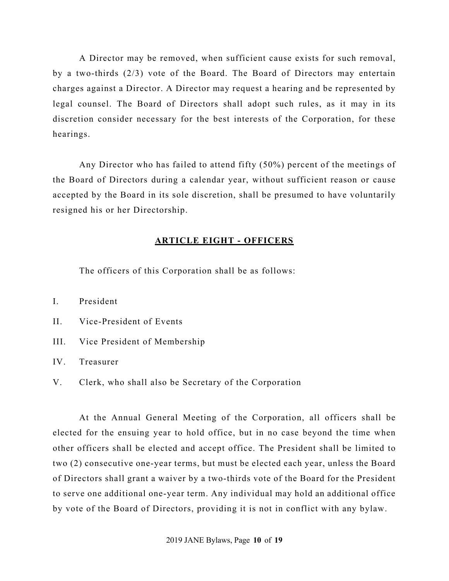A Director may be removed, when sufficient cause exists for such removal, by a two-thirds (2/3) vote of the Board. The Board of Directors may entertain charges against a Director. A Director may request a hearing and be represented by legal counsel. The Board of Directors shall adopt such rules, as it may in its discretion consider necessary for the best interests of the Corporation, for these hearings.

Any Director who has failed to attend fifty (50%) percent of the meetings of the Board of Directors during a calendar year, without sufficient reason or cause accepted by the Board in its sole discretion, shall be presumed to have voluntarily resigned his or her Directorship.

#### **ARTICLE EIGHT - OFFICERS**

The officers of this Corporation shall be as follows:

I. President

II. Vice-President of Events

III. Vice President of Membership

IV. Treasurer

V. Clerk, who shall also be Secretary of the Corporation

At the Annual General Meeting of the Corporation, all officers shall be elected for the ensuing year to hold office, but in no case beyond the time when other officers shall be elected and accept office. The President shall be limited to two (2) consecutive one-year terms, but must be elected each year, unless the Board of Directors shall grant a waiver by a two-thirds vote of the Board for the President to serve one additional one-year term. Any individual may hold an additional office by vote of the Board of Directors, providing it is not in conflict with any bylaw.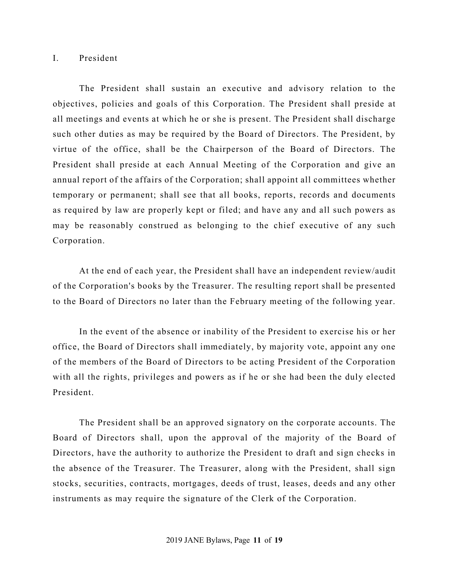#### I. President

The President shall sustain an executive and advisory relation to the objectives, policies and goals of this Corporation. The President shall preside at all meetings and events at which he or she is present. The President shall discharge such other duties as may be required by the Board of Directors. The President, by virtue of the office, shall be the Chairperson of the Board of Directors. The President shall preside at each Annual Meeting of the Corporation and give an annual report of the affairs of the Corporation; shall appoint all committees whether temporary or permanent; shall see that all books, reports, records and documents as required by law are properly kept or filed; and have any and all such powers as may be reasonably construed as belonging to the chief executive of any such Corporation.

At the end of each year, the President shall have an independent review/audit of the Corporation's books by the Treasurer. The resulting report shall be presented to the Board of Directors no later than the February meeting of the following year.

In the event of the absence or inability of the President to exercise his or her office, the Board of Directors shall immediately, by majority vote, appoint any one of the members of the Board of Directors to be acting President of the Corporation with all the rights, privileges and powers as if he or she had been the duly elected President.

The President shall be an approved signatory on the corporate accounts. The Board of Directors shall, upon the approval of the majority of the Board of Directors, have the authority to authorize the President to draft and sign checks in the absence of the Treasurer. The Treasurer, along with the President, shall sign stocks, securities, contracts, mortgages, deeds of trust, leases, deeds and any other instruments as may require the signature of the Clerk of the Corporation.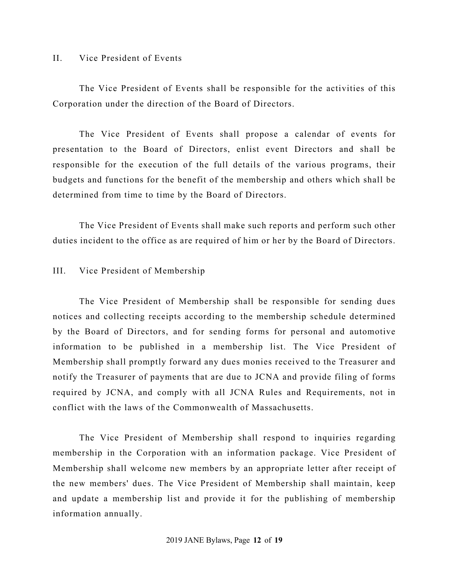### II. Vice President of Events

The Vice President of Events shall be responsible for the activities of this Corporation under the direction of the Board of Directors.

The Vice President of Events shall propose a calendar of events for presentation to the Board of Directors, enlist event Directors and shall be responsible for the execution of the full details of the various programs, their budgets and functions for the benefit of the membership and others which shall be determined from time to time by the Board of Directors.

The Vice President of Events shall make such reports and perform such other duties incident to the office as are required of him or her by the Board of Directors.

## III. Vice President of Membership

The Vice President of Membership shall be responsible for sending dues notices and collecting receipts according to the membership schedule determined by the Board of Directors, and for sending forms for personal and automotive information to be published in a membership list. The Vice President of Membership shall promptly forward any dues monies received to the Treasurer and notify the Treasurer of payments that are due to JCNA and provide filing of forms required by JCNA, and comply with all JCNA Rules and Requirements, not in conflict with the laws of the Commonwealth of Massachusetts.

The Vice President of Membership shall respond to inquiries regarding membership in the Corporation with an information package. Vice President of Membership shall welcome new members by an appropriate letter after receipt of the new members' dues. The Vice President of Membership shall maintain, keep and update a membership list and provide it for the publishing of membership information annually.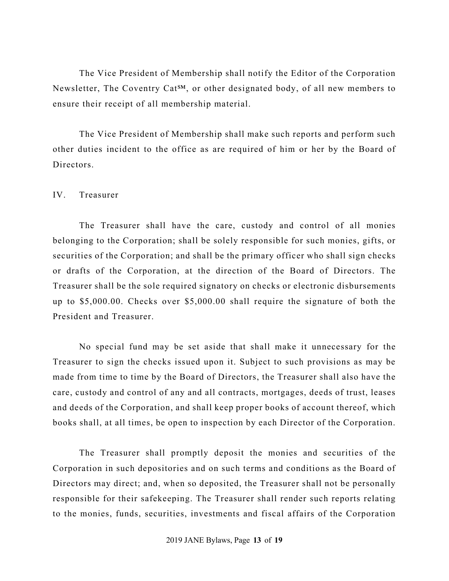The Vice President of Membership shall notify the Editor of the Corporation Newsletter, The Coventry Cat<sup>SM</sup>, or other designated body, of all new members to ensure their receipt of all membership material.

The Vice President of Membership shall make such reports and perform such other duties incident to the office as are required of him or her by the Board of Directors.

## IV. Treasurer

The Treasurer shall have the care, custody and control of all monies belonging to the Corporation; shall be solely responsible for such monies, gifts, or securities of the Corporation; and shall be the primary officer who shall sign checks or drafts of the Corporation, at the direction of the Board of Directors. The Treasurer shall be the sole required signatory on checks or electronic disbursements up to \$5,000.00. Checks over \$5,000.00 shall require the signature of both the President and Treasurer.

No special fund may be set aside that shall make it unnecessary for the Treasurer to sign the checks issued upon it. Subject to such provisions as may be made from time to time by the Board of Directors, the Treasurer shall also have the care, custody and control of any and all contracts, mortgages, deeds of trust, leases and deeds of the Corporation, and shall keep proper books of account thereof, which books shall, at all times, be open to inspection by each Director of the Corporation.

The Treasurer shall promptly deposit the monies and securities of the Corporation in such depositories and on such terms and conditions as the Board of Directors may direct; and, when so deposited, the Treasurer shall not be personally responsible for their safekeeping. The Treasurer shall render such reports relating to the monies, funds, securities, investments and fiscal affairs of the Corporation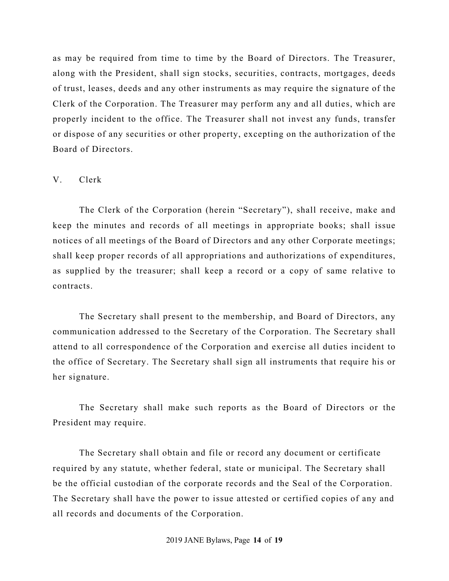as may be required from time to time by the Board of Directors. The Treasurer, along with the President, shall sign stocks, securities, contracts, mortgages, deeds of trust, leases, deeds and any other instruments as may require the signature of the Clerk of the Corporation. The Treasurer may perform any and all duties, which are properly incident to the office. The Treasurer shall not invest any funds, transfer or dispose of any securities or other property, excepting on the authorization of the Board of Directors.

#### V. Clerk

The Clerk of the Corporation (herein "Secretary"), shall receive, make and keep the minutes and records of all meetings in appropriate books; shall issue notices of all meetings of the Board of Directors and any other Corporate meetings; shall keep proper records of all appropriations and authorizations of expenditures, as supplied by the treasurer; shall keep a record or a copy of same relative to contracts.

The Secretary shall present to the membership, and Board of Directors, any communication addressed to the Secretary of the Corporation. The Secretary shall attend to all correspondence of the Corporation and exercise all duties incident to the office of Secretary. The Secretary shall sign all instruments that require his or her signature.

The Secretary shall make such reports as the Board of Directors or the President may require.

The Secretary shall obtain and file or record any document or certificate required by any statute, whether federal, state or municipal. The Secretary shall be the official custodian of the corporate records and the Seal of the Corporation. The Secretary shall have the power to issue attested or certified copies of any and all records and documents of the Corporation.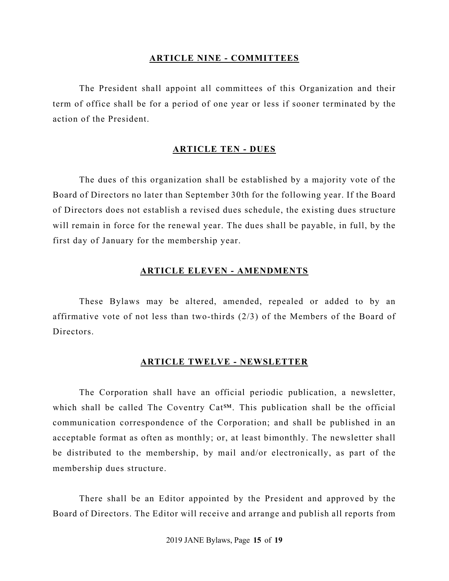### **ARTICLE NINE - COMMITTEES**

The President shall appoint all committees of this Organization and their term of office shall be for a period of one year or less if sooner terminated by the action of the President.

### **ARTICLE TEN - DUES**

The dues of this organization shall be established by a majority vote of the Board of Directors no later than September 30th for the following year. If the Board of Directors does not establish a revised dues schedule, the existing dues structure will remain in force for the renewal year. The dues shall be payable, in full, by the first day of January for the membership year.

#### **ARTICLE ELEVEN - AMENDMENTS**

These Bylaws may be altered, amended, repealed or added to by an affirmative vote of not less than two-thirds (2/3) of the Members of the Board of Directors.

#### **ARTICLE TWELVE - NEWSLETTER**

The Corporation shall have an official periodic publication, a newsletter, which shall be called The Coventry Cat<sup>SM</sup>. This publication shall be the official communication correspondence of the Corporation; and shall be published in an acceptable format as often as monthly; or, at least bimonthly. The newsletter shall be distributed to the membership, by mail and/or electronically, as part of the membership dues structure.

There shall be an Editor appointed by the President and approved by the Board of Directors. The Editor will receive and arrange and publish all reports from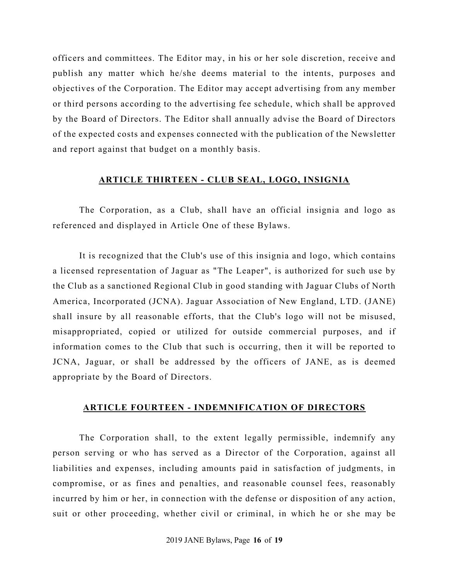officers and committees. The Editor may, in his or her sole discretion, receive and publish any matter which he/she deems material to the intents, purposes and objectives of the Corporation. The Editor may accept advertising from any member or third persons according to the advertising fee schedule, which shall be approved by the Board of Directors. The Editor shall annually advise the Board of Directors of the expected costs and expenses connected with the publication of the Newsletter and report against that budget on a monthly basis.

### **ARTICLE THIRTEEN - CLUB SEAL, LOGO, INSIGNIA**

The Corporation, as a Club, shall have an official insignia and logo as referenced and displayed in Article One of these Bylaws.

It is recognized that the Club's use of this insignia and logo, which contains a licensed representation of Jaguar as "The Leaper", is authorized for such use by the Club as a sanctioned Regional Club in good standing with Jaguar Clubs of North America, Incorporated (JCNA). Jaguar Association of New England, LTD. (JANE) shall insure by all reasonable efforts, that the Club's logo will not be misused, misappropriated, copied or utilized for outside commercial purposes, and if information comes to the Club that such is occurring, then it will be reported to JCNA, Jaguar, or shall be addressed by the officers of JANE, as is deemed appropriate by the Board of Directors.

## **ARTICLE FOURTEEN - INDEMNIFICATION OF DIRECTORS**

The Corporation shall, to the extent legally permissible, indemnify any person serving or who has served as a Director of the Corporation, against all liabilities and expenses, including amounts paid in satisfaction of judgments, in compromise, or as fines and penalties, and reasonable counsel fees, reasonably incurred by him or her, in connection with the defense or disposition of any action, suit or other proceeding, whether civil or criminal, in which he or she may be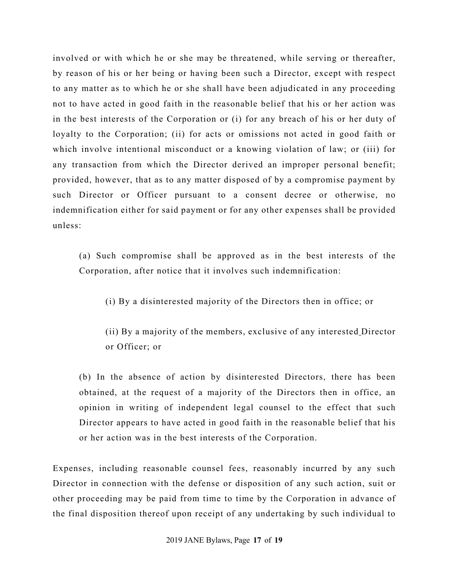involved or with which he or she may be threatened, while serving or thereafter, by reason of his or her being or having been such a Director, except with respect to any matter as to which he or she shall have been adjudicated in any proceeding not to have acted in good faith in the reasonable belief that his or her action was in the best interests of the Corporation or (i) for any breach of his or her duty of loyalty to the Corporation; (ii) for acts or omissions not acted in good faith or which involve intentional misconduct or a knowing violation of law; or (iii) for any transaction from which the Director derived an improper personal benefit; provided, however, that as to any matter disposed of by a compromise payment by such Director or Officer pursuant to a consent decree or otherwise, no indemnification either for said payment or for any other expenses shall be provided unless:

(a) Such compromise shall be approved as in the best interests of the Corporation, after notice that it involves such indemnification:

(i) By a disinterested majority of the Directors then in office; or

(ii) By a majority of the members, exclusive of any interested Director or Officer; or

(b) In the absence of action by disinterested Directors, there has been obtained, at the request of a majority of the Directors then in office, an opinion in writing of independent legal counsel to the effect that such Director appears to have acted in good faith in the reasonable belief that his or her action was in the best interests of the Corporation.

Expenses, including reasonable counsel fees, reasonably incurred by any such Director in connection with the defense or disposition of any such action, suit or other proceeding may be paid from time to time by the Corporation in advance of the final disposition thereof upon receipt of any undertaking by such individual to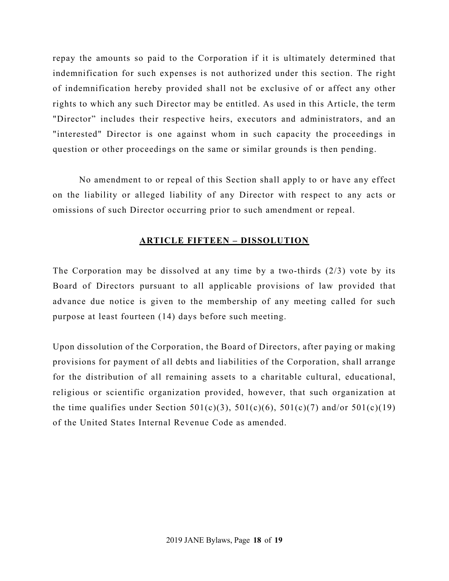repay the amounts so paid to the Corporation if it is ultimately determined that indemnification for such expenses is not authorized under this section. The right of indemnification hereby provided shall not be exclusive of or affect any other rights to which any such Director may be entitled. As used in this Article, the term "Director" includes their respective heirs, executors and administrators, and an "interested" Director is one against whom in such capacity the proceedings in question or other proceedings on the same or similar grounds is then pending.

No amendment to or repeal of this Section shall apply to or have any effect on the liability or alleged liability of any Director with respect to any acts or omissions of such Director occurring prior to such amendment or repeal.

# **ARTICLE FIFTEEN – DISSOLUTION**

The Corporation may be dissolved at any time by a two-thirds (2/3) vote by its Board of Directors pursuant to all applicable provisions of law provided that advance due notice is given to the membership of any meeting called for such purpose at least fourteen (14) days before such meeting.

Upon dissolution of the Corporation, the Board of Directors, after paying or making provisions for payment of all debts and liabilities of the Corporation, shall arrange for the distribution of all remaining assets to a charitable cultural, educational, religious or scientific organization provided, however, that such organization at the time qualifies under Section 501(c)(3), 501(c)(6), 501(c)(7) and/or 501(c)(19) of the United States Internal Revenue Code as amended.